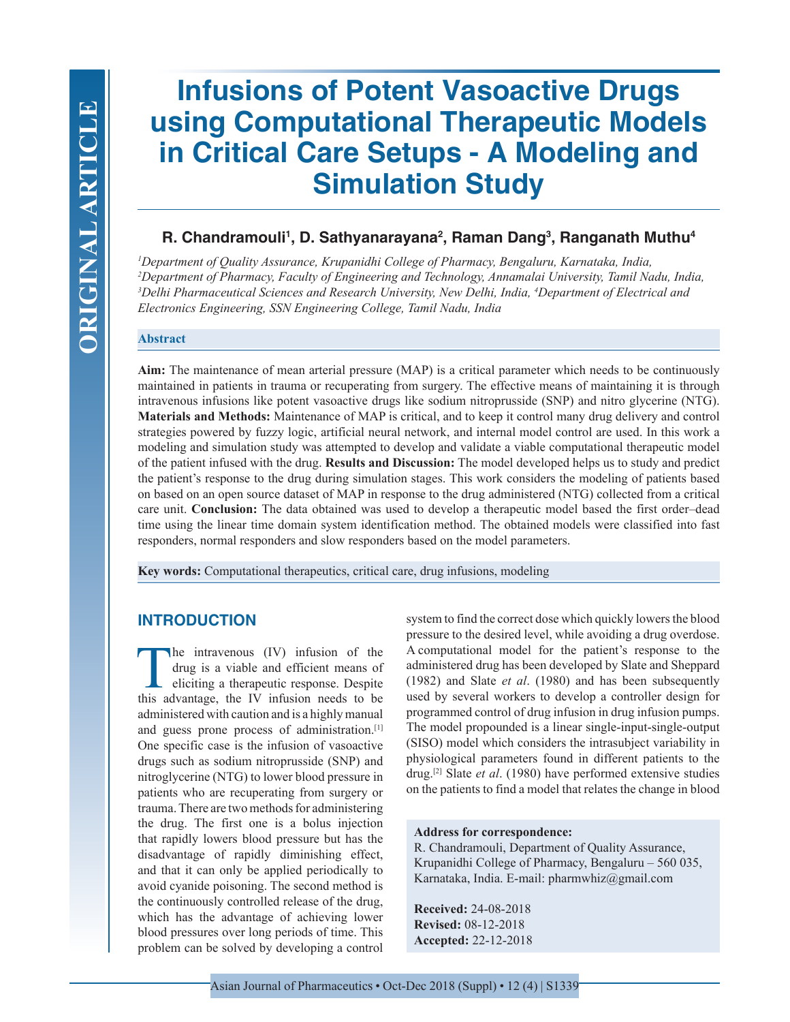# **Infusions of Potent Vasoactive Drugs using Computational Therapeutic Models in Critical Care Setups - A Modeling and Simulation Study**

# **R. Chandramouli1 , D. Sathyanarayana2 , Raman Dang3 , Ranganath Muthu4**

 *Department of Quality Assurance, Krupanidhi College of Pharmacy, Bengaluru, Karnataka, India, Department of Pharmacy, Faculty of Engineering and Technology, Annamalai University, Tamil Nadu, India, Delhi Pharmaceutical Sciences and Research University, New Delhi, India, 4 Department of Electrical and Electronics Engineering, SSN Engineering College, Tamil Nadu, India*

## **Abstract**

**Aim:** The maintenance of mean arterial pressure (MAP) is a critical parameter which needs to be continuously maintained in patients in trauma or recuperating from surgery. The effective means of maintaining it is through intravenous infusions like potent vasoactive drugs like sodium nitroprusside (SNP) and nitro glycerine (NTG). **Materials and Methods:** Maintenance of MAP is critical, and to keep it control many drug delivery and control strategies powered by fuzzy logic, artificial neural network, and internal model control are used. In this work a modeling and simulation study was attempted to develop and validate a viable computational therapeutic model of the patient infused with the drug. **Results and Discussion:** The model developed helps us to study and predict the patient's response to the drug during simulation stages. This work considers the modeling of patients based on based on an open source dataset of MAP in response to the drug administered (NTG) collected from a critical care unit. **Conclusion:** The data obtained was used to develop a therapeutic model based the first order–dead time using the linear time domain system identification method. The obtained models were classified into fast responders, normal responders and slow responders based on the model parameters.

**Key words:** Computational therapeutics, critical care, drug infusions, modeling

# **INTRODUCTION**

The intravenous (IV) infusion of the<br>drug is a viable and efficient means of<br>eliciting a therapeutic response. Despite<br>this advantage the IV infusion needs to be drug is a viable and efficient means of eliciting a therapeutic response. Despite this advantage, the IV infusion needs to be administered with caution and is a highly manual and guess prone process of administration.[1] One specific case is the infusion of vasoactive drugs such as sodium nitroprusside (SNP) and nitroglycerine (NTG) to lower blood pressure in patients who are recuperating from surgery or trauma. There are two methods for administering the drug. The first one is a bolus injection that rapidly lowers blood pressure but has the disadvantage of rapidly diminishing effect, and that it can only be applied periodically to avoid cyanide poisoning. The second method is the continuously controlled release of the drug, which has the advantage of achieving lower blood pressures over long periods of time. This problem can be solved by developing a control

system to find the correct dose which quickly lowers the blood pressure to the desired level, while avoiding a drug overdose. A computational model for the patient's response to the administered drug has been developed by Slate and Sheppard (1982) and Slate *et al*. (1980) and has been subsequently used by several workers to develop a controller design for programmed control of drug infusion in drug infusion pumps. The model propounded is a linear single-input-single-output (SISO) model which considers the intrasubject variability in physiological parameters found in different patients to the drug.[2] Slate *et al*. (1980) have performed extensive studies on the patients to find a model that relates the change in blood

#### **Address for correspondence:**

R. Chandramouli, Department of Quality Assurance, Krupanidhi College of Pharmacy, Bengaluru – 560 035, Karnataka, India. E-mail: pharmwhiz@gmail.com

**Received:** 24-08-2018 **Revised:** 08-12-2018 **Accepted:** 22-12-2018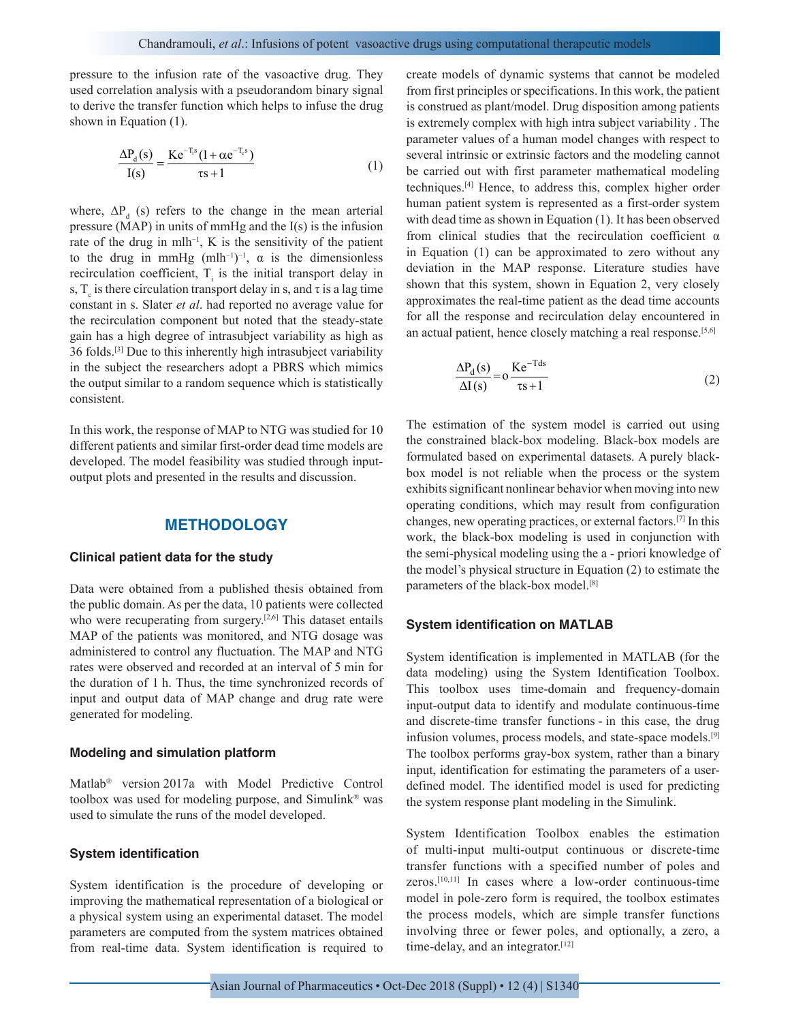pressure to the infusion rate of the vasoactive drug. They used correlation analysis with a pseudorandom binary signal to derive the transfer function which helps to infuse the drug shown in Equation (1).

$$
\frac{\Delta P_d(s)}{I(s)} = \frac{\text{Ke}^{-T_i s} (1 + \alpha e^{-T_c s})}{\tau s + 1}
$$
\n(1)

where,  $\Delta P_d$  (s) refers to the change in the mean arterial pressure (MAP) in units of mmHg and the I(s) is the infusion rate of the drug in mlh<sup>-1</sup>, K is the sensitivity of the patient to the drug in mmHg  $(mlh^{-1})^{-1}$ ,  $\alpha$  is the dimensionless recirculation coefficient,  $T<sub>i</sub>$  is the initial transport delay in s,  $T_c$  is there circulation transport delay in s, and  $\tau$  is a lag time constant in s. Slater *et al*. had reported no average value for the recirculation component but noted that the steady-state gain has a high degree of intrasubject variability as high as 36 folds.[3] Due to this inherently high intrasubject variability in the subject the researchers adopt a PBRS which mimics the output similar to a random sequence which is statistically consistent.

In this work, the response of MAP to NTG was studied for 10 different patients and similar first-order dead time models are developed. The model feasibility was studied through inputoutput plots and presented in the results and discussion.

## **METHODOLOGY**

#### **Clinical patient data for the study**

Data were obtained from a published thesis obtained from the public domain. As per the data, 10 patients were collected who were recuperating from surgery.<sup>[2,6]</sup> This dataset entails MAP of the patients was monitored, and NTG dosage was administered to control any fluctuation. The MAP and NTG rates were observed and recorded at an interval of 5 min for the duration of 1 h. Thus, the time synchronized records of input and output data of MAP change and drug rate were generated for modeling.

#### **Modeling and simulation platform**

Matlab® version 2017a with Model Predictive Control toolbox was used for modeling purpose, and Simulink® was used to simulate the runs of the model developed.

#### **System identification**

System identification is the procedure of developing or improving the mathematical representation of a biological or a physical system using an experimental dataset. The model parameters are computed from the system matrices obtained from real-time data. System identification is required to create models of dynamic systems that cannot be modeled from first principles or specifications. In this work, the patient is construed as plant/model. Drug disposition among patients is extremely complex with high intra subject variability . The parameter values of a human model changes with respect to several intrinsic or extrinsic factors and the modeling cannot be carried out with first parameter mathematical modeling techniques.[4] Hence, to address this, complex higher order human patient system is represented as a first-order system with dead time as shown in Equation (1). It has been observed from clinical studies that the recirculation coefficient α in Equation (1) can be approximated to zero without any deviation in the MAP response. Literature studies have shown that this system, shown in Equation 2, very closely approximates the real-time patient as the dead time accounts for all the response and recirculation delay encountered in an actual patient, hence closely matching a real response.<sup>[5,6]</sup>

$$
\frac{\Delta P_d(s)}{\Delta I(s)} = o \frac{Ke^{-Tds}}{\tau s + 1}
$$
 (2)

The estimation of the system model is carried out using the constrained black-box modeling. Black-box models are formulated based on experimental datasets. A purely blackbox model is not reliable when the process or the system exhibits significant nonlinear behavior when moving into new operating conditions, which may result from configuration changes, new operating practices, or external factors.[7] In this work, the black-box modeling is used in conjunction with the semi-physical modeling using the a - priori knowledge of the model's physical structure in Equation (2) to estimate the parameters of the black-box model.[8]

## **System identification on MATLAB**

System identification is implemented in MATLAB (for the data modeling) using the System Identification Toolbox. This toolbox uses time-domain and frequency-domain input-output data to identify and modulate continuous-time and discrete-time transfer functions - in this case, the drug infusion volumes, process models, and state-space models.[9] The toolbox performs gray-box system, rather than a binary input, identification for estimating the parameters of a userdefined model. The identified model is used for predicting the system response plant modeling in the Simulink.

System Identification Toolbox enables the estimation of multi-input multi-output continuous or discrete-time transfer functions with a specified number of poles and zeros.[10,11] In cases where a low-order continuous-time model in pole-zero form is required, the toolbox estimates the process models, which are simple transfer functions involving three or fewer poles, and optionally, a zero, a time-delay, and an integrator.<sup>[12]</sup>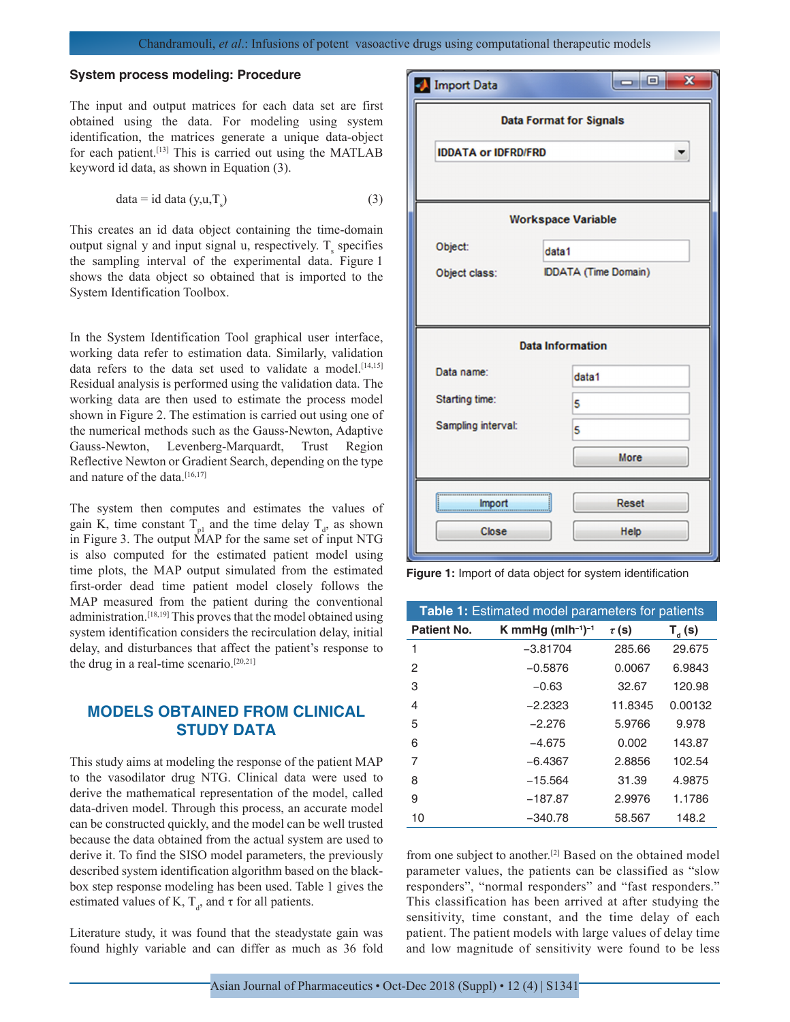#### **System process modeling: Procedure**

The input and output matrices for each data set are first obtained using the data. For modeling using system identification, the matrices generate a unique data-object for each patient.[13] This is carried out using the MATLAB keyword id data, as shown in Equation (3).

$$
data = id data (y, u, Ts)
$$
 (3)

This creates an id data object containing the time-domain output signal y and input signal  $u$ , respectively.  $T_s$  specifies the sampling interval of the experimental data. Figure 1 shows the data object so obtained that is imported to the System Identification Toolbox.

In the System Identification Tool graphical user interface, working data refer to estimation data. Similarly, validation data refers to the data set used to validate a model.<sup>[14,15]</sup> Residual analysis is performed using the validation data. The working data are then used to estimate the process model shown in Figure 2. The estimation is carried out using one of the numerical methods such as the Gauss-Newton, Adaptive Gauss-Newton, Levenberg-Marquardt, Trust Region Reflective Newton or Gradient Search, depending on the type and nature of the data.<sup>[16,17]</sup>

The system then computes and estimates the values of gain K, time constant  $T_{pl}$  and the time delay  $T_{d}$ , as shown in Figure 3. The output MAP for the same set of input NTG is also computed for the estimated patient model using time plots, the MAP output simulated from the estimated first-order dead time patient model closely follows the MAP measured from the patient during the conventional administration.[18,19] This proves that the model obtained using system identification considers the recirculation delay, initial delay, and disturbances that affect the patient's response to the drug in a real-time scenario.<sup>[20,21]</sup>

# **MODELS OBTAINED FROM CLINICAL STUDY DATA**

This study aims at modeling the response of the patient MAP to the vasodilator drug NTG. Clinical data were used to derive the mathematical representation of the model, called data-driven model. Through this process, an accurate model can be constructed quickly, and the model can be well trusted because the data obtained from the actual system are used to derive it. To find the SISO model parameters, the previously described system identification algorithm based on the blackbox step response modeling has been used. Table 1 gives the estimated values of K,  $T_d$ , and  $\tau$  for all patients.

Literature study, it was found that the steadystate gain was found highly variable and can differ as much as 36 fold



**Figure 1:** Import of data object for system identification

| <b>Table 1:</b> Estimated model parameters for patients |                                 |            |          |  |  |  |
|---------------------------------------------------------|---------------------------------|------------|----------|--|--|--|
| <b>Patient No.</b>                                      | <b>K</b> mmHg $(mlh^{-1})^{-1}$ | $\tau$ (s) | $T_a(s)$ |  |  |  |
| 1                                                       | $-3.81704$                      | 285.66     | 29.675   |  |  |  |
| 2                                                       | $-0.5876$                       | 0.0067     | 6.9843   |  |  |  |
| 3                                                       | $-0.63$                         | 32.67      | 120.98   |  |  |  |
| 4                                                       | $-2.2323$                       | 11.8345    | 0.00132  |  |  |  |
| 5                                                       | $-2.276$                        | 5.9766     | 9.978    |  |  |  |
| 6                                                       | $-4.675$                        | 0.002      | 143.87   |  |  |  |
| 7                                                       | $-6.4367$                       | 2.8856     | 102.54   |  |  |  |
| 8                                                       | $-15.564$                       | 31.39      | 4.9875   |  |  |  |
| 9                                                       | $-187.87$                       | 2.9976     | 1.1786   |  |  |  |
| 10                                                      | $-340.78$                       | 58.567     | 148.2    |  |  |  |

from one subject to another.[2] Based on the obtained model parameter values, the patients can be classified as "slow responders", "normal responders" and "fast responders." This classification has been arrived at after studying the sensitivity, time constant, and the time delay of each patient. The patient models with large values of delay time and low magnitude of sensitivity were found to be less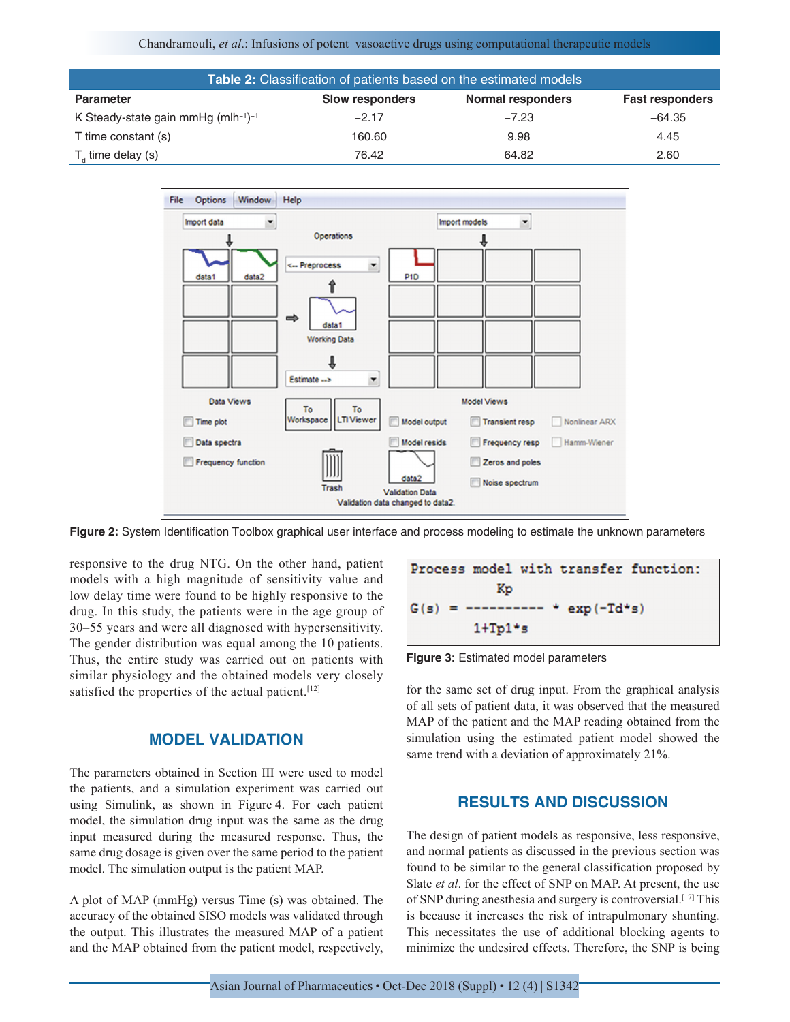#### Chandramouli, *et al*.: Infusions of potent vasoactive drugs using computational therapeutic models

| Table 2: Classification of patients based on the estimated models |                 |                          |                        |  |  |
|-------------------------------------------------------------------|-----------------|--------------------------|------------------------|--|--|
| <b>Parameter</b>                                                  | Slow responders | <b>Normal responders</b> | <b>Fast responders</b> |  |  |
| K Steady-state gain mmHg (mlh <sup>-1</sup> ) <sup>-1</sup>       | $-2.17$         | $-7.23$                  | $-64.35$               |  |  |
| T time constant (s)                                               | 160.60          | 9.98                     | 4.45                   |  |  |
| $T_{d}$ time delay (s)                                            | 76.42           | 64.82                    | 2.60                   |  |  |



**Figure 2:** System Identification Toolbox graphical user interface and process modeling to estimate the unknown parameters

responsive to the drug NTG. On the other hand, patient models with a high magnitude of sensitivity value and low delay time were found to be highly responsive to the drug. In this study, the patients were in the age group of 30–55 years and were all diagnosed with hypersensitivity. The gender distribution was equal among the 10 patients. Thus, the entire study was carried out on patients with similar physiology and the obtained models very closely satisfied the properties of the actual patient.<sup>[12]</sup>

# **MODEL VALIDATION**

The parameters obtained in Section III were used to model the patients, and a simulation experiment was carried out using Simulink, as shown in Figure 4. For each patient model, the simulation drug input was the same as the drug input measured during the measured response. Thus, the same drug dosage is given over the same period to the patient model. The simulation output is the patient MAP.

A plot of MAP (mmHg) versus Time (s) was obtained. The accuracy of the obtained SISO models was validated through the output. This illustrates the measured MAP of a patient and the MAP obtained from the patient model, respectively,

|                                    |           |  |  | Process model with transfer function: |
|------------------------------------|-----------|--|--|---------------------------------------|
|                                    | Kp        |  |  |                                       |
| $G(s) =$ ---------- * $exp(-Td*g)$ |           |  |  |                                       |
|                                    | $1+Tp1*s$ |  |  |                                       |

**Figure 3:** Estimated model parameters

for the same set of drug input. From the graphical analysis of all sets of patient data, it was observed that the measured MAP of the patient and the MAP reading obtained from the simulation using the estimated patient model showed the same trend with a deviation of approximately 21%.

# **RESULTS AND DISCUSSION**

The design of patient models as responsive, less responsive, and normal patients as discussed in the previous section was found to be similar to the general classification proposed by Slate *et al*. for the effect of SNP on MAP. At present, the use of SNP during anesthesia and surgery is controversial.[17] This is because it increases the risk of intrapulmonary shunting. This necessitates the use of additional blocking agents to minimize the undesired effects. Therefore, the SNP is being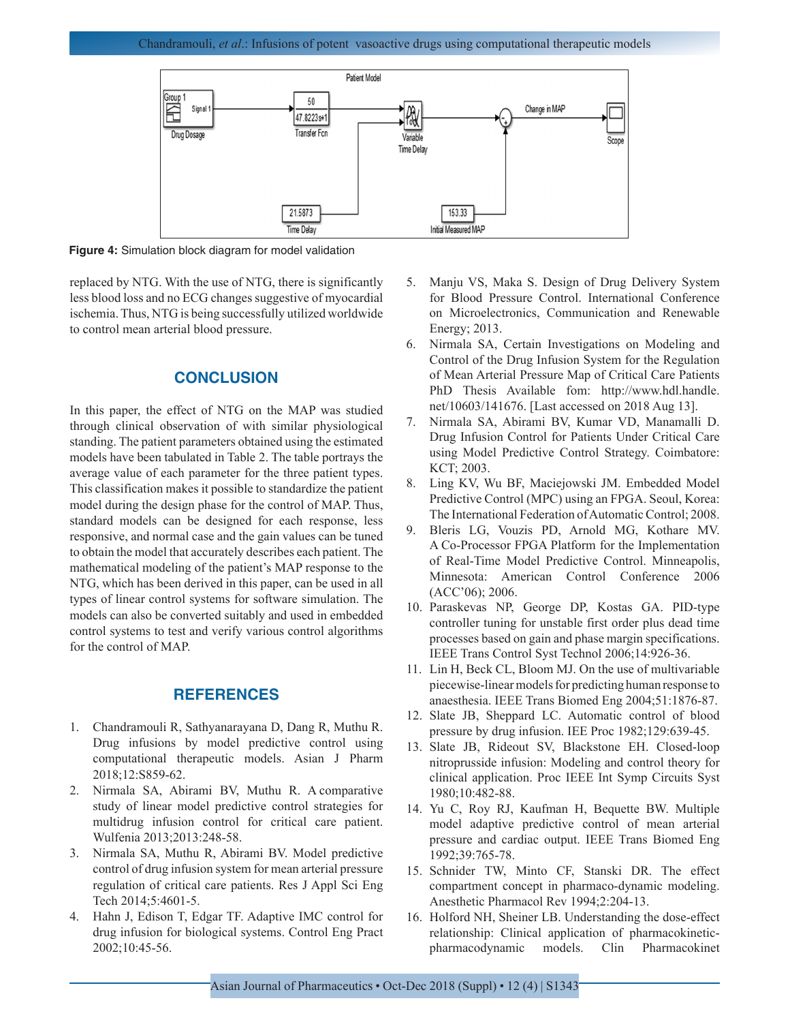

**Figure 4:** Simulation block diagram for model validation

replaced by NTG. With the use of NTG, there is significantly less blood loss and no ECG changes suggestive of myocardial ischemia. Thus, NTG is being successfully utilized worldwide to control mean arterial blood pressure.

## **CONCLUSION**

In this paper, the effect of NTG on the MAP was studied through clinical observation of with similar physiological standing. The patient parameters obtained using the estimated models have been tabulated in Table 2. The table portrays the average value of each parameter for the three patient types. This classification makes it possible to standardize the patient model during the design phase for the control of MAP. Thus, standard models can be designed for each response, less responsive, and normal case and the gain values can be tuned to obtain the model that accurately describes each patient. The mathematical modeling of the patient's MAP response to the NTG, which has been derived in this paper, can be used in all types of linear control systems for software simulation. The models can also be converted suitably and used in embedded control systems to test and verify various control algorithms for the control of MAP.

## **REFERENCES**

- 1. Chandramouli R, Sathyanarayana D, Dang R, Muthu R. Drug infusions by model predictive control using computational therapeutic models. Asian J Pharm 2018;12:S859-62.
- 2. Nirmala SA, Abirami BV, Muthu R. A comparative study of linear model predictive control strategies for multidrug infusion control for critical care patient. Wulfenia 2013;2013:248-58.
- 3. Nirmala SA, Muthu R, Abirami BV. Model predictive control of drug infusion system for mean arterial pressure regulation of critical care patients. Res J Appl Sci Eng Tech 2014;5:4601-5.
- Hahn J, Edison T, Edgar TF. Adaptive IMC control for drug infusion for biological systems. Control Eng Pract 2002;10:45-56.
- 5. Manju VS, Maka S. Design of Drug Delivery System for Blood Pressure Control. International Conference on Microelectronics, Communication and Renewable Energy; 2013.
- 6. Nirmala SA, Certain Investigations on Modeling and Control of the Drug Infusion System for the Regulation of Mean Arterial Pressure Map of Critical Care Patients PhD Thesis Available fom: http://www.hdl.handle. net/10603/141676. [Last accessed on 2018 Aug 13].
- 7. Nirmala SA, Abirami BV, Kumar VD, Manamalli D. Drug Infusion Control for Patients Under Critical Care using Model Predictive Control Strategy. Coimbatore: KCT; 2003.
- 8. Ling KV, Wu BF, Maciejowski JM. Embedded Model Predictive Control (MPC) using an FPGA. Seoul, Korea: The International Federation of Automatic Control; 2008.
- 9. Bleris LG, Vouzis PD, Arnold MG, Kothare MV. A Co-Processor FPGA Platform for the Implementation of Real-Time Model Predictive Control. Minneapolis, Minnesota: American Control Conference 2006 (ACC'06); 2006.
- 10. Paraskevas NP, George DP, Kostas GA. PID-type controller tuning for unstable first order plus dead time processes based on gain and phase margin specifications. IEEE Trans Control Syst Technol 2006;14:926-36.
- 11. Lin H, Beck CL, Bloom MJ. On the use of multivariable piecewise-linear models for predicting human response to anaesthesia. IEEE Trans Biomed Eng 2004;51:1876-87.
- 12. Slate JB, Sheppard LC. Automatic control of blood pressure by drug infusion. IEE Proc 1982;129:639-45.
- 13. Slate JB, Rideout SV, Blackstone EH. Closed-loop nitroprusside infusion: Modeling and control theory for clinical application. Proc IEEE Int Symp Circuits Syst 1980;10:482-88.
- 14. Yu C, Roy RJ, Kaufman H, Bequette BW. Multiple model adaptive predictive control of mean arterial pressure and cardiac output. IEEE Trans Biomed Eng 1992;39:765-78.
- 15. Schnider TW, Minto CF, Stanski DR. The effect compartment concept in pharmaco-dynamic modeling. Anesthetic Pharmacol Rev 1994;2:204-13.
- 16. Holford NH, Sheiner LB. Understanding the dose-effect relationship: Clinical application of pharmacokineticpharmacodynamic models. Clin Pharmacokinet